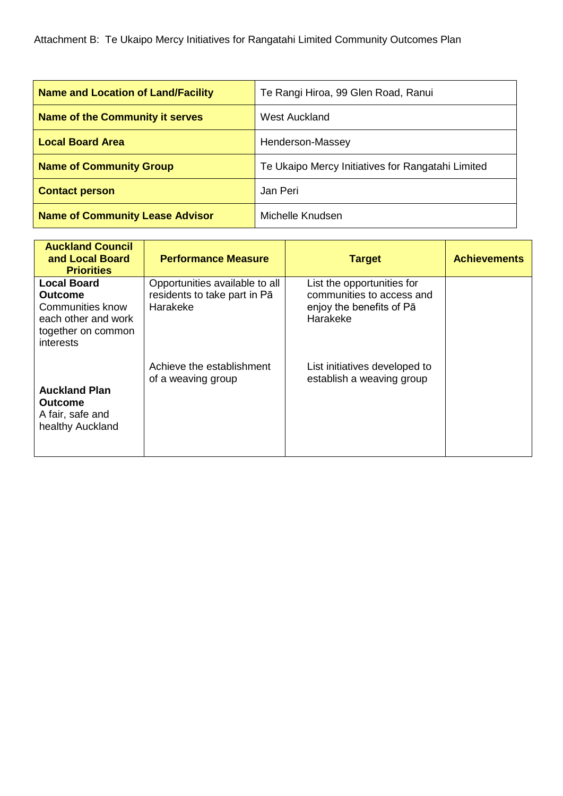Attachment B: Te Ukaipo Mercy Initiatives for Rangatahi Limited Community Outcomes Plan

| <b>Name and Location of Land/Facility</b> | Te Rangi Hiroa, 99 Glen Road, Ranui               |
|-------------------------------------------|---------------------------------------------------|
| <b>Name of the Community it serves</b>    | <b>West Auckland</b>                              |
| <b>Local Board Area</b>                   | Henderson-Massey                                  |
| <b>Name of Community Group</b>            | Te Ukaipo Mercy Initiatives for Rangatahi Limited |
| <b>Contact person</b>                     | Jan Peri                                          |
| <b>Name of Community Lease Advisor</b>    | Michelle Knudsen                                  |

| <b>Auckland Council</b><br>and Local Board<br><b>Priorities</b>                                                           | <b>Performance Measure</b>                                                 | <b>Target</b>                                                                                   | <b>Achievements</b> |
|---------------------------------------------------------------------------------------------------------------------------|----------------------------------------------------------------------------|-------------------------------------------------------------------------------------------------|---------------------|
| <b>Local Board</b><br><b>Outcome</b><br><b>Communities know</b><br>each other and work<br>together on common<br>interests | Opportunities available to all<br>residents to take part in Pā<br>Harakeke | List the opportunities for<br>communities to access and<br>enjoy the benefits of Pā<br>Harakeke |                     |
| <b>Auckland Plan</b><br><b>Outcome</b><br>A fair, safe and<br>healthy Auckland                                            | Achieve the establishment<br>of a weaving group                            | List initiatives developed to<br>establish a weaving group                                      |                     |